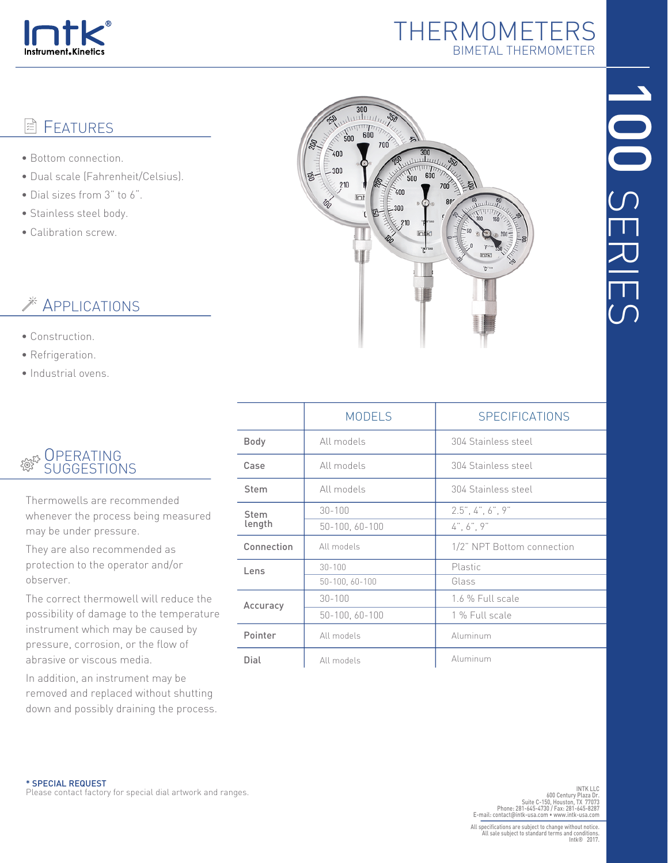

## THERMOMETERS BIMETAL THERMOMETER

#### **FEATURES** ΙÊ

- Bottom connection.
- Dual scale (Fahrenheit/Celsius).
- Dial sizes from 3" to 6".
- Stainless steel body.
- Calibration screw.

# APPLICATIONS

- Construction.
- Refrigeration.
- Industrial ovens.

#### **OPERATING** १<u>७</u> SUGGESTIONS

Thermowells are recommended whenever the process being measured may be under pressure.

They are also recommended as protection to the operator and/or observer.

The correct thermowell will reduce the possibility of damage to the temperature instrument which may be caused by pressure, corrosion, or the flow of abrasive or viscous media.

In addition, an instrument may be removed and replaced without shutting down and possibly draining the process.



|                | <b>MODELS</b>  | <b>SPECIFICATIONS</b>                           |
|----------------|----------------|-------------------------------------------------|
| <b>Body</b>    | All models     | 304 Stainless steel                             |
| Case           | All models     | 304 Stainless steel                             |
| <b>Stem</b>    | All models     | 304 Stainless steel                             |
| Stem<br>length | $30 - 100$     | $2.5$ ", 4", 6", 9"                             |
|                | 50-100, 60-100 | $4^{\degree}$ , 6 $^{\degree}$ , 9 $^{\degree}$ |
| Connection     | All models     | 1/2" NPT Bottom connection                      |
| Lens           | $30 - 100$     | Plastic                                         |
|                | 50-100, 60-100 | Glass                                           |
| Accuracy       | $30 - 100$     | 1.6 % Full scale                                |
|                | 50-100, 60-100 | 1 % Full scale                                  |
| Pointer        | All models     | Aluminum                                        |
| Dial           | All models     | Aluminum                                        |